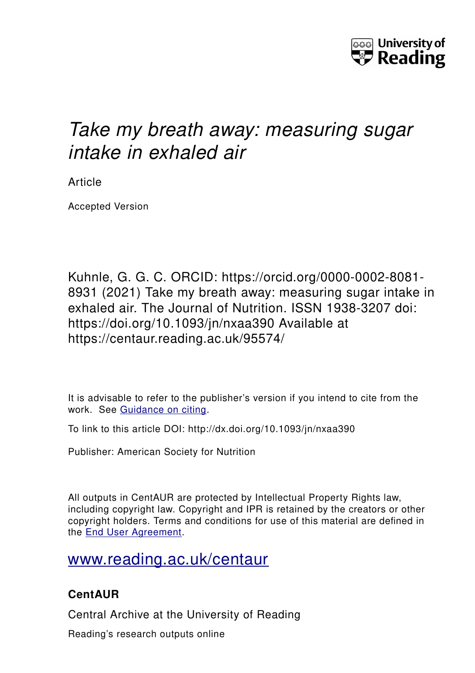

## *Take my breath away: measuring sugar intake in exhaled air*

Article

Accepted Version

Kuhnle, G. G. C. ORCID: https://orcid.org/0000-0002-8081- 8931 (2021) Take my breath away: measuring sugar intake in exhaled air. The Journal of Nutrition. ISSN 1938-3207 doi: https://doi.org/10.1093/jn/nxaa390 Available at https://centaur.reading.ac.uk/95574/

It is advisable to refer to the publisher's version if you intend to cite from the work. See [Guidance on citing.](http://centaur.reading.ac.uk/71187/10/CentAUR%20citing%20guide.pdf)

To link to this article DOI: http://dx.doi.org/10.1093/jn/nxaa390

Publisher: American Society for Nutrition

All outputs in CentAUR are protected by Intellectual Property Rights law, including copyright law. Copyright and IPR is retained by the creators or other copyright holders. Terms and conditions for use of this material are defined in the [End User Agreement.](http://centaur.reading.ac.uk/licence)

[www.reading.ac.uk/centaur](http://www.reading.ac.uk/centaur)

## **CentAUR**

Central Archive at the University of Reading

Reading's research outputs online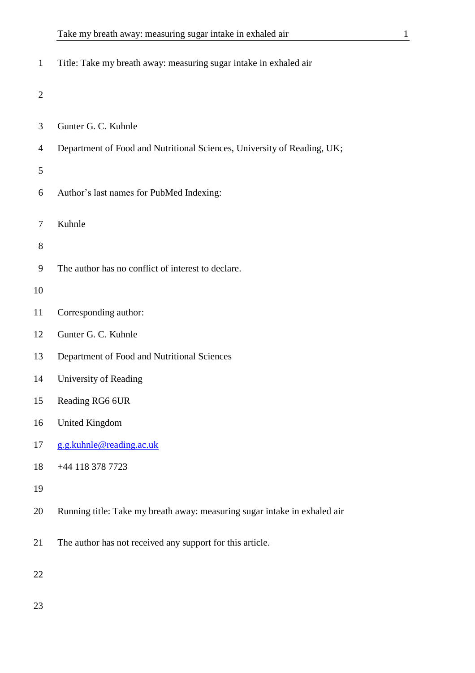| $\mathbf{1}$   | Title: Take my breath away: measuring sugar intake in exhaled air         |
|----------------|---------------------------------------------------------------------------|
| $\overline{2}$ |                                                                           |
| 3              | Gunter G. C. Kuhnle                                                       |
| 4              | Department of Food and Nutritional Sciences, University of Reading, UK;   |
| 5              |                                                                           |
| 6              | Author's last names for PubMed Indexing:                                  |
| 7              | Kuhnle                                                                    |
| 8              |                                                                           |
| 9              | The author has no conflict of interest to declare.                        |
| 10             |                                                                           |
| 11             | Corresponding author:                                                     |
| 12             | Gunter G. C. Kuhnle                                                       |
| 13             | Department of Food and Nutritional Sciences                               |
| 14             | University of Reading                                                     |
| 15             | Reading RG6 6UR                                                           |
| 16             | <b>United Kingdom</b>                                                     |
| 17             | g.g.kuhnle@reading.ac.uk                                                  |
| 18             | +44 118 378 7723                                                          |
| 19             |                                                                           |
| 20             | Running title: Take my breath away: measuring sugar intake in exhaled air |
| 21             | The author has not received any support for this article.                 |
|                |                                                                           |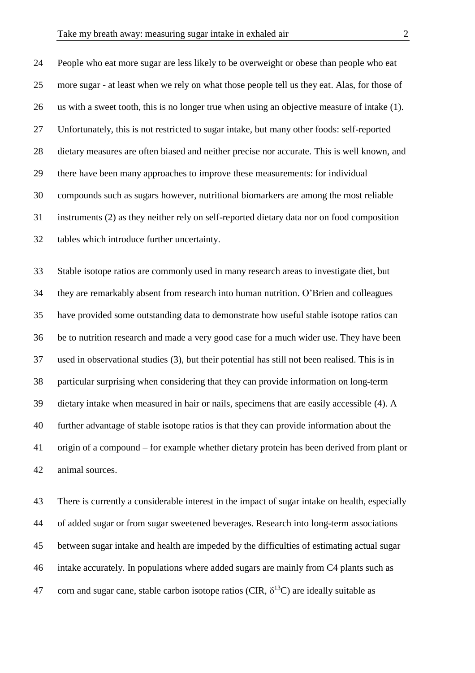People who eat more sugar are less likely to be overweight or obese than people who eat more sugar - at least when we rely on what those people tell us they eat. Alas, for those of us with a sweet tooth, this is no longer true when using an objective measure of intake (1). Unfortunately, this is not restricted to sugar intake, but many other foods: self-reported dietary measures are often biased and neither precise nor accurate. This is well known, and there have been many approaches to improve these measurements: for individual compounds such as sugars however, nutritional biomarkers are among the most reliable instruments (2) as they neither rely on self-reported dietary data nor on food composition tables which introduce further uncertainty.

 Stable isotope ratios are commonly used in many research areas to investigate diet, but they are remarkably absent from research into human nutrition. O'Brien and colleagues have provided some outstanding data to demonstrate how useful stable isotope ratios can be to nutrition research and made a very good case for a much wider use. They have been used in observational studies (3), but their potential has still not been realised. This is in particular surprising when considering that they can provide information on long-term dietary intake when measured in hair or nails, specimens that are easily accessible (4). A further advantage of stable isotope ratios is that they can provide information about the origin of a compound – for example whether dietary protein has been derived from plant or animal sources.

 There is currently a considerable interest in the impact of sugar intake on health, especially of added sugar or from sugar sweetened beverages. Research into long-term associations between sugar intake and health are impeded by the difficulties of estimating actual sugar intake accurately. In populations where added sugars are mainly from C4 plants such as 47 corn and sugar cane, stable carbon isotope ratios (CIR,  $\delta^{13}$ C) are ideally suitable as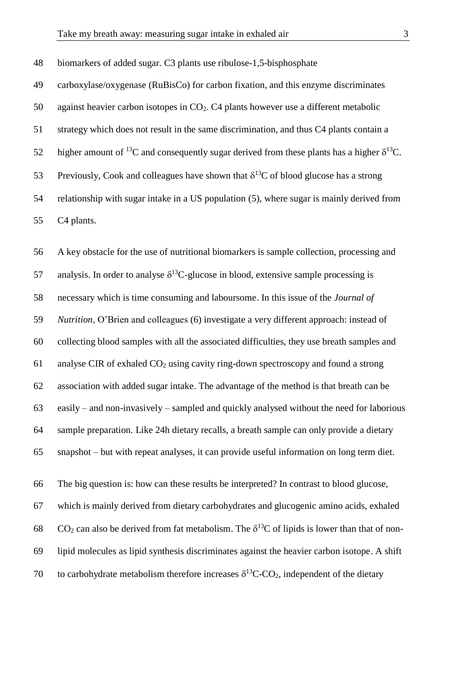biomarkers of added sugar. C3 plants use ribulose-1,5-bisphosphate carboxylase/oxygenase (RuBisCo) for carbon fixation, and this enzyme discriminates against heavier carbon isotopes in CO2. C4 plants however use a different metabolic strategy which does not result in the same discrimination, and thus C4 plants contain a 52 higher amount of <sup>13</sup>C and consequently sugar derived from these plants has a higher  $\delta^{13}C$ . 53 Previously, Cook and colleagues have shown that  $\delta^{13}$ C of blood glucose has a strong relationship with sugar intake in a US population (5), where sugar is mainly derived from C4 plants.

 A key obstacle for the use of nutritional biomarkers is sample collection, processing and 57 analysis. In order to analyse  $\delta^{13}$ C-glucose in blood, extensive sample processing is necessary which is time consuming and laboursome. In this issue of the *Journal of Nutrition*, O'Brien and colleagues (6) investigate a very different approach: instead of collecting blood samples with all the associated difficulties, they use breath samples and analyse CIR of exhaled CO<sup>2</sup> using cavity ring-down spectroscopy and found a strong association with added sugar intake. The advantage of the method is that breath can be easily – and non-invasively – sampled and quickly analysed without the need for laborious sample preparation. Like 24h dietary recalls, a breath sample can only provide a dietary snapshot – but with repeat analyses, it can provide useful information on long term diet.

 The big question is: how can these results be interpreted? In contrast to blood glucose, which is mainly derived from dietary carbohydrates and glucogenic amino acids, exhaled 68 CO<sub>2</sub> can also be derived from fat metabolism. The  $\delta^{13}$ C of lipids is lower than that of non- lipid molecules as lipid synthesis discriminates against the heavier carbon isotope. A shift 70 to carbohydrate metabolism therefore increases  $\delta^{13}$ C-CO<sub>2</sub>, independent of the dietary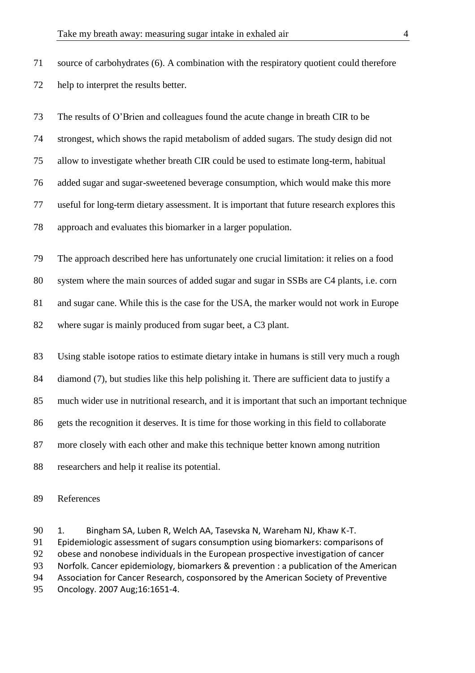| 71 | source of carbohydrates (6). A combination with the respiratory quotient could therefore |
|----|------------------------------------------------------------------------------------------|
| 72 | help to interpret the results better.                                                    |

 The results of O'Brien and colleagues found the acute change in breath CIR to be strongest, which shows the rapid metabolism of added sugars. The study design did not allow to investigate whether breath CIR could be used to estimate long-term, habitual added sugar and sugar-sweetened beverage consumption, which would make this more useful for long-term dietary assessment. It is important that future research explores this approach and evaluates this biomarker in a larger population.

 The approach described here has unfortunately one crucial limitation: it relies on a food system where the main sources of added sugar and sugar in SSBs are C4 plants, i.e. corn and sugar cane. While this is the case for the USA, the marker would not work in Europe where sugar is mainly produced from sugar beet, a C3 plant.

 Using stable isotope ratios to estimate dietary intake in humans is still very much a rough diamond (7), but studies like this help polishing it. There are sufficient data to justify a much wider use in nutritional research, and it is important that such an important technique gets the recognition it deserves. It is time for those working in this field to collaborate more closely with each other and make this technique better known among nutrition researchers and help it realise its potential.

References

 1. Bingham SA, Luben R, Welch AA, Tasevska N, Wareham NJ, Khaw K-T. Epidemiologic assessment of sugars consumption using biomarkers: comparisons of obese and nonobese individuals in the European prospective investigation of cancer 93 Norfolk. Cancer epidemiology, biomarkers & prevention : a publication of the American Association for Cancer Research, cosponsored by the American Society of Preventive Oncology. 2007 Aug;16:1651-4.